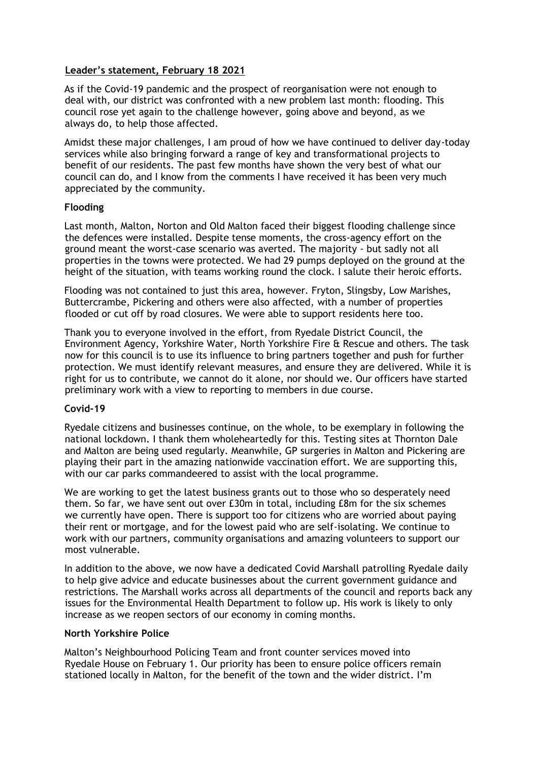## **Leader's statement, February 18 2021**

As if the Covid-19 pandemic and the prospect of reorganisation were not enough to deal with, our district was confronted with a new problem last month: flooding. This council rose yet again to the challenge however, going above and beyond, as we always do, to help those affected.

Amidst these major challenges, I am proud of how we have continued to deliver day-today services while also bringing forward a range of key and transformational projects to benefit of our residents. The past few months have shown the very best of what our council can do, and I know from the comments I have received it has been very much appreciated by the community.

### **Flooding**

Last month, Malton, Norton and Old Malton faced their biggest flooding challenge since the defences were installed. Despite tense moments, the cross-agency effort on the ground meant the worst-case scenario was averted. The majority - but sadly not all properties in the towns were protected. We had 29 pumps deployed on the ground at the height of the situation, with teams working round the clock. I salute their heroic efforts.

Flooding was not contained to just this area, however. Fryton, Slingsby, Low Marishes, Buttercrambe, Pickering and others were also affected, with a number of properties flooded or cut off by road closures. We were able to support residents here too.

Thank you to everyone involved in the effort, from Ryedale District Council, the Environment Agency, Yorkshire Water, North Yorkshire Fire & Rescue and others. The task now for this council is to use its influence to bring partners together and push for further protection. We must identify relevant measures, and ensure they are delivered. While it is right for us to contribute, we cannot do it alone, nor should we. Our officers have started preliminary work with a view to reporting to members in due course.

#### **Covid-19**

Ryedale citizens and businesses continue, on the whole, to be exemplary in following the national lockdown. I thank them wholeheartedly for this. Testing sites at Thornton Dale and Malton are being used regularly. Meanwhile, GP surgeries in Malton and Pickering are playing their part in the amazing nationwide vaccination effort. We are supporting this, with our car parks commandeered to assist with the local programme.

We are working to get the latest business grants out to those who so desperately need them. So far, we have sent out over £30m in total, including £8m for the six schemes we currently have open. There is support too for citizens who are worried about paying their rent or mortgage, and for the lowest paid who are self-isolating. We continue to work with our partners, community organisations and amazing volunteers to support our most vulnerable.

In addition to the above, we now have a dedicated Covid Marshall patrolling Ryedale daily to help give advice and educate businesses about the current government guidance and restrictions. The Marshall works across all departments of the council and reports back any issues for the Environmental Health Department to follow up. His work is likely to only increase as we reopen sectors of our economy in coming months.

## **North Yorkshire Police**

Malton's Neighbourhood Policing Team and front counter services moved into Ryedale House on February 1. Our priority has been to ensure police officers remain stationed locally in Malton, for the benefit of the town and the wider district. I'm